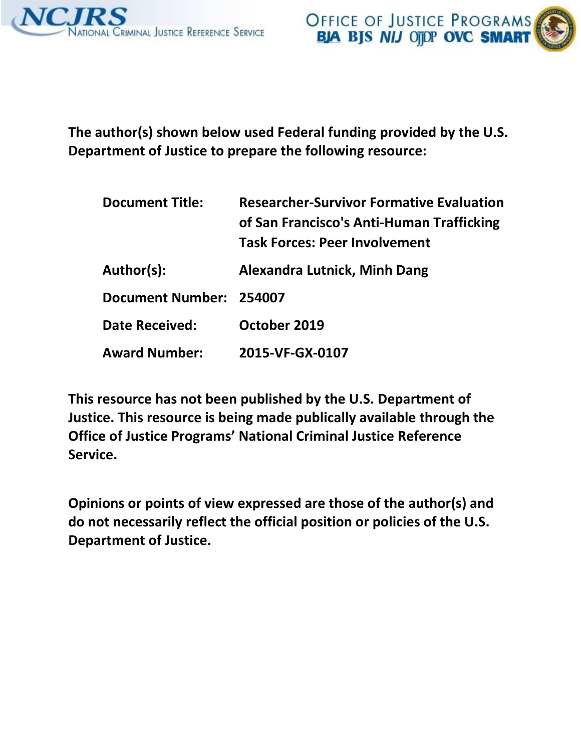

**The author(s) shown below used Federal funding provided by the U.S. Department of Justice to prepare the following resource:** 

| <b>Document Title:</b>  | <b>Researcher-Survivor Formative Evaluation</b><br>of San Francisco's Anti-Human Trafficking<br><b>Task Forces: Peer Involvement</b> |
|-------------------------|--------------------------------------------------------------------------------------------------------------------------------------|
| Author(s):              | <b>Alexandra Lutnick, Minh Dang</b>                                                                                                  |
| Document Number: 254007 |                                                                                                                                      |
| <b>Date Received:</b>   | October 2019                                                                                                                         |
| <b>Award Number:</b>    | 2015-VF-GX-0107                                                                                                                      |

**This resource has not been published by the U.S. Department of Justice. This resource is being made publically available through the Office of Justice Programs' National Criminal Justice Reference Service.** 

**Opinions or points of view expressed are those of the author(s) and do not necessarily reflect the official position or policies of the U.S. Department of Justice.**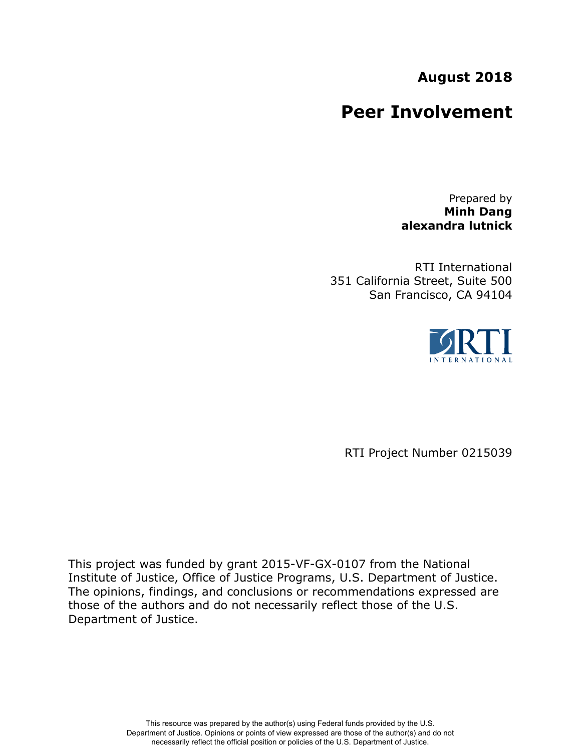# **August 2018**

# **Peer Involvement**

Prepared by **Minh Dang alexandra lutnick**

RTI International 351 California Street, Suite 500 San Francisco, CA 94104



RTI Project Number 0215039

This project was funded by grant 2015-VF-GX-0107 from the National Institute of Justice, Office of Justice Programs, U.S. Department of Justice. The opinions, findings, and conclusions or recommendations expressed are those of the authors and do not necessarily reflect those of the U.S. Department of Justice.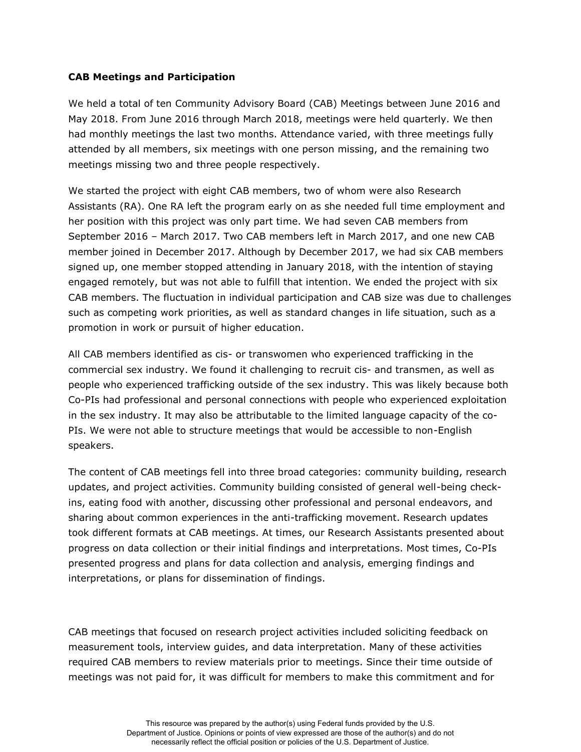### **CAB Meetings and Participation**

We held a total of ten Community Advisory Board (CAB) Meetings between June 2016 and May 2018. From June 2016 through March 2018, meetings were held quarterly. We then had monthly meetings the last two months. Attendance varied, with three meetings fully attended by all members, six meetings with one person missing, and the remaining two meetings missing two and three people respectively.

We started the project with eight CAB members, two of whom were also Research Assistants (RA). One RA left the program early on as she needed full time employment and her position with this project was only part time. We had seven CAB members from September 2016 – March 2017. Two CAB members left in March 2017, and one new CAB member joined in December 2017. Although by December 2017, we had six CAB members signed up, one member stopped attending in January 2018, with the intention of staying engaged remotely, but was not able to fulfill that intention. We ended the project with six CAB members. The fluctuation in individual participation and CAB size was due to challenges such as competing work priorities, as well as standard changes in life situation, such as a promotion in work or pursuit of higher education.

All CAB members identified as cis- or transwomen who experienced trafficking in the commercial sex industry. We found it challenging to recruit cis- and transmen, as well as people who experienced trafficking outside of the sex industry. This was likely because both Co-PIs had professional and personal connections with people who experienced exploitation in the sex industry. It may also be attributable to the limited language capacity of the co-PIs. We were not able to structure meetings that would be accessible to non-English speakers.

The content of CAB meetings fell into three broad categories: community building, research updates, and project activities. Community building consisted of general well-being checkins, eating food with another, discussing other professional and personal endeavors, and sharing about common experiences in the anti-trafficking movement. Research updates took different formats at CAB meetings. At times, our Research Assistants presented about progress on data collection or their initial findings and interpretations. Most times, Co-PIs presented progress and plans for data collection and analysis, emerging findings and interpretations, or plans for dissemination of findings.

CAB meetings that focused on research project activities included soliciting feedback on measurement tools, interview guides, and data interpretation. Many of these activities required CAB members to review materials prior to meetings. Since their time outside of meetings was not paid for, it was difficult for members to make this commitment and for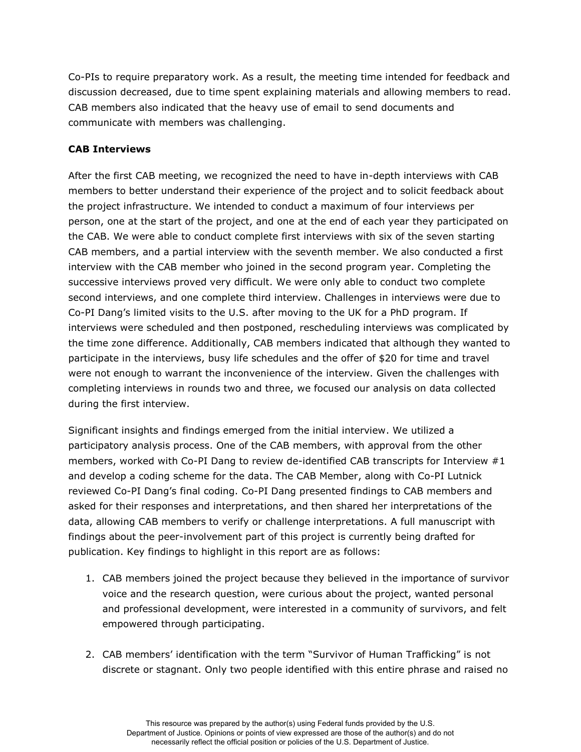Co-PIs to require preparatory work. As a result, the meeting time intended for feedback and discussion decreased, due to time spent explaining materials and allowing members to read. CAB members also indicated that the heavy use of email to send documents and communicate with members was challenging.

#### **CAB Interviews**

After the first CAB meeting, we recognized the need to have in-depth interviews with CAB members to better understand their experience of the project and to solicit feedback about the project infrastructure. We intended to conduct a maximum of four interviews per person, one at the start of the project, and one at the end of each year they participated on the CAB. We were able to conduct complete first interviews with six of the seven starting CAB members, and a partial interview with the seventh member. We also conducted a first interview with the CAB member who joined in the second program year. Completing the successive interviews proved very difficult. We were only able to conduct two complete second interviews, and one complete third interview. Challenges in interviews were due to Co-PI Dang's limited visits to the U.S. after moving to the UK for a PhD program. If interviews were scheduled and then postponed, rescheduling interviews was complicated by the time zone difference. Additionally, CAB members indicated that although they wanted to participate in the interviews, busy life schedules and the offer of \$20 for time and travel were not enough to warrant the inconvenience of the interview. Given the challenges with completing interviews in rounds two and three, we focused our analysis on data collected during the first interview.

Significant insights and findings emerged from the initial interview. We utilized a participatory analysis process. One of the CAB members, with approval from the other members, worked with Co-PI Dang to review de-identified CAB transcripts for Interview #1 and develop a coding scheme for the data. The CAB Member, along with Co-PI Lutnick reviewed Co-PI Dang's final coding. Co-PI Dang presented findings to CAB members and asked for their responses and interpretations, and then shared her interpretations of the data, allowing CAB members to verify or challenge interpretations. A full manuscript with findings about the peer-involvement part of this project is currently being drafted for publication. Key findings to highlight in this report are as follows:

- 1. CAB members joined the project because they believed in the importance of survivor voice and the research question, were curious about the project, wanted personal and professional development, were interested in a community of survivors, and felt empowered through participating.
- 2. CAB members' identification with the term "Survivor of Human Trafficking" is not discrete or stagnant. Only two people identified with this entire phrase and raised no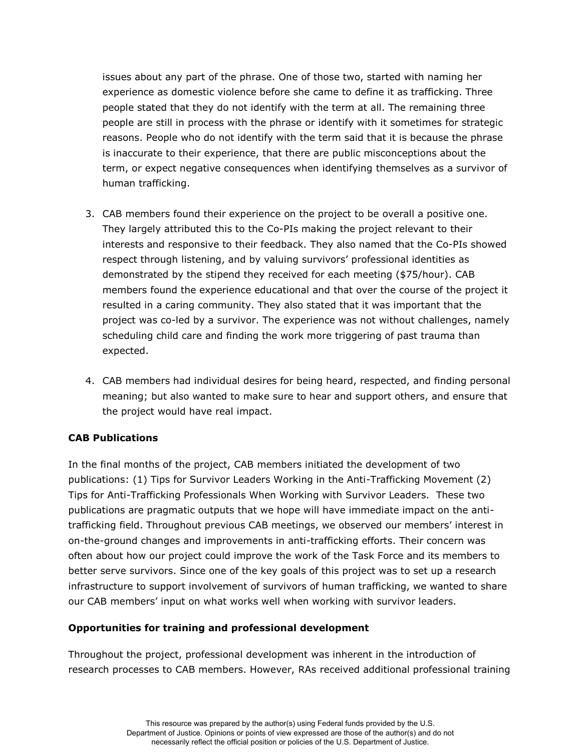issues about any part of the phrase. One of those two, started with naming her experience as domestic violence before she came to define it as trafficking. Three people stated that they do not identify with the term at all. The remaining three people are still in process with the phrase or identify with it sometimes for strategic reasons. People who do not identify with the term said that it is because the phrase is inaccurate to their experience, that there are public misconceptions about the term, or expect negative consequences when identifying themselves as a survivor of human trafficking.

- 3. CAB members found their experience on the project to be overall a positive one. They largely attributed this to the Co-PIs making the project relevant to their interests and responsive to their feedback. They also named that the Co-PIs showed respect through listening, and by valuing survivors' professional identities as demonstrated by the stipend they received for each meeting (\$75/hour). CAB members found the experience educational and that over the course of the project it resulted in a caring community. They also stated that it was important that the project was co-led by a survivor. The experience was not without challenges, namely scheduling child care and finding the work more triggering of past trauma than expected.
- 4. CAB members had individual desires for being heard, respected, and finding personal meaning; but also wanted to make sure to hear and support others, and ensure that the project would have real impact.

## **CAB Publications**

In the final months of the project, CAB members initiated the development of two publications: (1) Tips for Survivor Leaders Working in the Anti-Trafficking Movement (2) Tips for Anti-Trafficking Professionals When Working with Survivor Leaders. These two publications are pragmatic outputs that we hope will have immediate impact on the antitrafficking field. Throughout previous CAB meetings, we observed our members' interest in on-the-ground changes and improvements in anti-trafficking efforts. Their concern was often about how our project could improve the work of the Task Force and its members to better serve survivors. Since one of the key goals of this project was to set up a research infrastructure to support involvement of survivors of human trafficking, we wanted to share our CAB members' input on what works well when working with survivor leaders.

#### **Opportunities for training and professional development**

Throughout the project, professional development was inherent in the introduction of research processes to CAB members. However, RAs received additional professional training